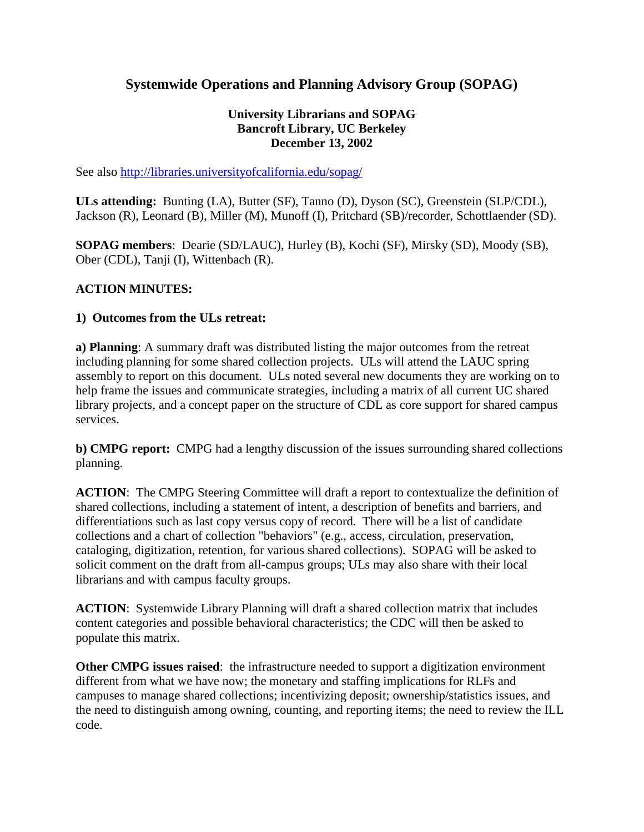# **Systemwide Operations and Planning Advisory Group (SOPAG)**

#### **University Librarians and SOPAG Bancroft Library, UC Berkeley December 13, 2002**

See also http://libraries.universityofcalifornia.edu/sopag/

**ULs attending:** Bunting (LA), Butter (SF), Tanno (D), Dyson (SC), Greenstein (SLP/CDL), Jackson (R), Leonard (B), Miller (M), Munoff (I), Pritchard (SB)/recorder, Schottlaender (SD).

**SOPAG members**: Dearie (SD/LAUC), Hurley (B), Kochi (SF), Mirsky (SD), Moody (SB), Ober (CDL), Tanji (I), Wittenbach (R).

### **ACTION MINUTES:**

#### **1) Outcomes from the ULs retreat:**

**a) Planning**: A summary draft was distributed listing the major outcomes from the retreat including planning for some shared collection projects. ULs will attend the LAUC spring assembly to report on this document. ULs noted several new documents they are working on to help frame the issues and communicate strategies, including a matrix of all current UC shared library projects, and a concept paper on the structure of CDL as core support for shared campus services.

**b) CMPG report:** CMPG had a lengthy discussion of the issues surrounding shared collections planning.

**ACTION**: The CMPG Steering Committee will draft a report to contextualize the definition of shared collections, including a statement of intent, a description of benefits and barriers, and differentiations such as last copy versus copy of record. There will be a list of candidate collections and a chart of collection "behaviors" (e.g., access, circulation, preservation, cataloging, digitization, retention, for various shared collections). SOPAG will be asked to solicit comment on the draft from all-campus groups; ULs may also share with their local librarians and with campus faculty groups.

**ACTION**: Systemwide Library Planning will draft a shared collection matrix that includes content categories and possible behavioral characteristics; the CDC will then be asked to populate this matrix.

**Other CMPG issues raised**: the infrastructure needed to support a digitization environment different from what we have now; the monetary and staffing implications for RLFs and campuses to manage shared collections; incentivizing deposit; ownership/statistics issues, and the need to distinguish among owning, counting, and reporting items; the need to review the ILL code.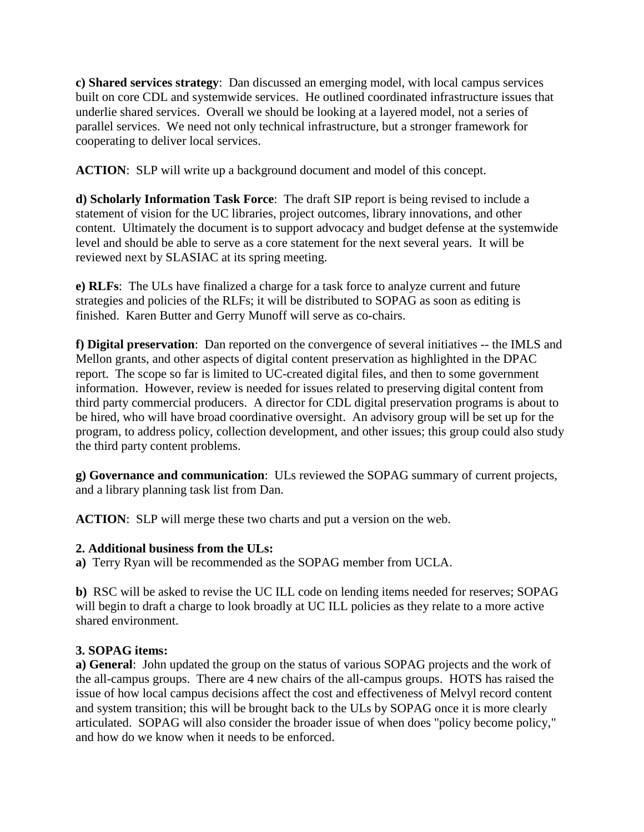**c) Shared services strategy**: Dan discussed an emerging model, with local campus services built on core CDL and systemwide services. He outlined coordinated infrastructure issues that underlie shared services. Overall we should be looking at a layered model, not a series of parallel services. We need not only technical infrastructure, but a stronger framework for cooperating to deliver local services.

**ACTION**: SLP will write up a background document and model of this concept.

**d) Scholarly Information Task Force**: The draft SIP report is being revised to include a statement of vision for the UC libraries, project outcomes, library innovations, and other content. Ultimately the document is to support advocacy and budget defense at the systemwide level and should be able to serve as a core statement for the next several years. It will be reviewed next by SLASIAC at its spring meeting.

**e) RLFs**: The ULs have finalized a charge for a task force to analyze current and future strategies and policies of the RLFs; it will be distributed to SOPAG as soon as editing is finished. Karen Butter and Gerry Munoff will serve as co-chairs.

**f) Digital preservation**: Dan reported on the convergence of several initiatives -- the IMLS and Mellon grants, and other aspects of digital content preservation as highlighted in the DPAC report. The scope so far is limited to UC-created digital files, and then to some government information. However, review is needed for issues related to preserving digital content from third party commercial producers. A director for CDL digital preservation programs is about to be hired, who will have broad coordinative oversight. An advisory group will be set up for the program, to address policy, collection development, and other issues; this group could also study the third party content problems.

**g) Governance and communication**: ULs reviewed the SOPAG summary of current projects, and a library planning task list from Dan.

**ACTION**: SLP will merge these two charts and put a version on the web.

## **2. Additional business from the ULs:**

**a)** Terry Ryan will be recommended as the SOPAG member from UCLA.

**b)** RSC will be asked to revise the UC ILL code on lending items needed for reserves; SOPAG will begin to draft a charge to look broadly at UC ILL policies as they relate to a more active shared environment.

## **3. SOPAG items:**

**a) General**: John updated the group on the status of various SOPAG projects and the work of the all-campus groups. There are 4 new chairs of the all-campus groups. HOTS has raised the issue of how local campus decisions affect the cost and effectiveness of Melvyl record content and system transition; this will be brought back to the ULs by SOPAG once it is more clearly articulated. SOPAG will also consider the broader issue of when does "policy become policy," and how do we know when it needs to be enforced.